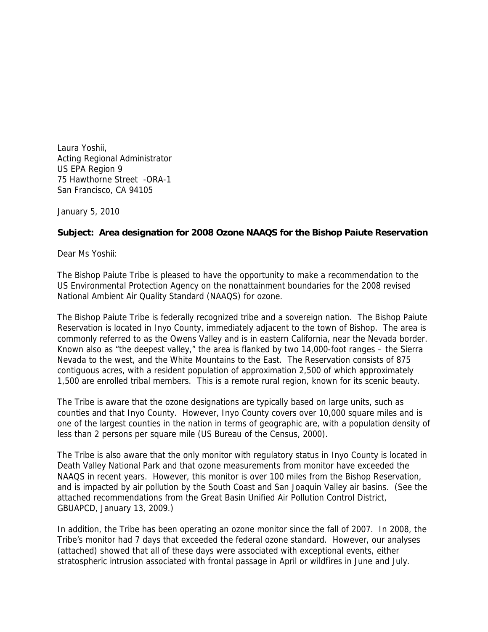Laura Yoshii, Acting Regional Administrator US EPA Region 9 75 Hawthorne Street -ORA-1 San Francisco, CA 94105

January 5, 2010

## **Subject: Area designation for 2008 Ozone NAAQS for the Bishop Paiute Reservation**

Dear Ms Yoshii:

The Bishop Paiute Tribe is pleased to have the opportunity to make a recommendation to the US Environmental Protection Agency on the nonattainment boundaries for the 2008 revised National Ambient Air Quality Standard (NAAQS) for ozone.

The Bishop Paiute Tribe is federally recognized tribe and a sovereign nation. The Bishop Paiute Reservation is located in Inyo County, immediately adjacent to the town of Bishop. The area is commonly referred to as the Owens Valley and is in eastern California, near the Nevada border. Known also as "the deepest valley," the area is flanked by two 14,000-foot ranges – the Sierra Nevada to the west, and the White Mountains to the East. The Reservation consists of 875 contiguous acres, with a resident population of approximation 2,500 of which approximately 1,500 are enrolled tribal members. This is a remote rural region, known for its scenic beauty.

The Tribe is aware that the ozone designations are typically based on large units, such as counties and that Inyo County. However, Inyo County covers over 10,000 square miles and is one of the largest counties in the nation in terms of geographic are, with a population density of less than 2 persons per square mile (US Bureau of the Census, 2000).

The Tribe is also aware that the only monitor with regulatory status in Inyo County is located in Death Valley National Park and that ozone measurements from monitor have exceeded the NAAQS in recent years. However, this monitor is over 100 miles from the Bishop Reservation, and is impacted by air pollution by the South Coast and San Joaquin Valley air basins. (See the attached recommendations from the Great Basin Unified Air Pollution Control District, GBUAPCD, January 13, 2009.)

In addition, the Tribe has been operating an ozone monitor since the fall of 2007. In 2008, the Tribe's monitor had 7 days that exceeded the federal ozone standard. However, our analyses (attached) showed that all of these days were associated with exceptional events, either stratospheric intrusion associated with frontal passage in April or wildfires in June and July.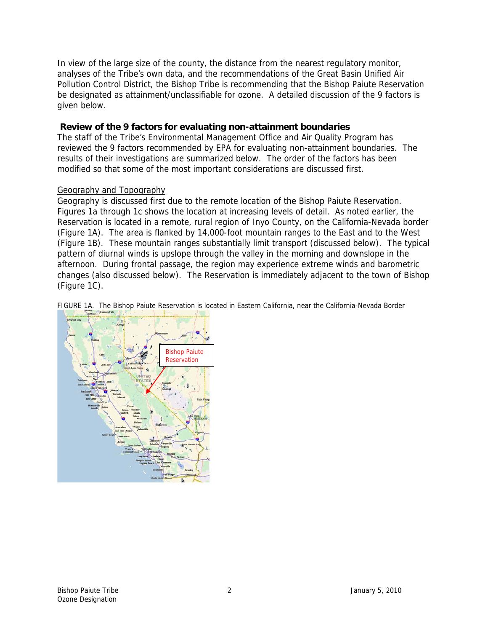In view of the large size of the county, the distance from the nearest regulatory monitor, analyses of the Tribe's own data, and the recommendations of the Great Basin Unified Air Pollution Control District, the Bishop Tribe is recommending that the Bishop Paiute Reservation be designated as attainment/unclassifiable for ozone. A detailed discussion of the 9 factors is given below.

## **Review of the 9 factors for evaluating non-attainment boundaries**

The staff of the Tribe's Environmental Management Office and Air Quality Program has reviewed the 9 factors recommended by EPA for evaluating non-attainment boundaries. The results of their investigations are summarized below. The order of the factors has been modified so that some of the most important considerations are discussed first.

## Geography and Topography

Geography is discussed first due to the remote location of the Bishop Paiute Reservation. Figures 1a through 1c shows the location at increasing levels of detail. As noted earlier, the Reservation is located in a remote, rural region of Inyo County, on the California-Nevada border (Figure 1A). The area is flanked by 14,000-foot mountain ranges to the East and to the West (Figure 1B). These mountain ranges substantially limit transport (discussed below). The typical pattern of diurnal winds is upslope through the valley in the morning and downslope in the afternoon. During frontal passage, the region may experience extreme winds and barometric changes (also discussed below). The Reservation is immediately adjacent to the town of Bishop (Figure 1C).

FIGURE 1A. The Bishop Paiute Reservation is located in Eastern California, near the California-Nevada Border

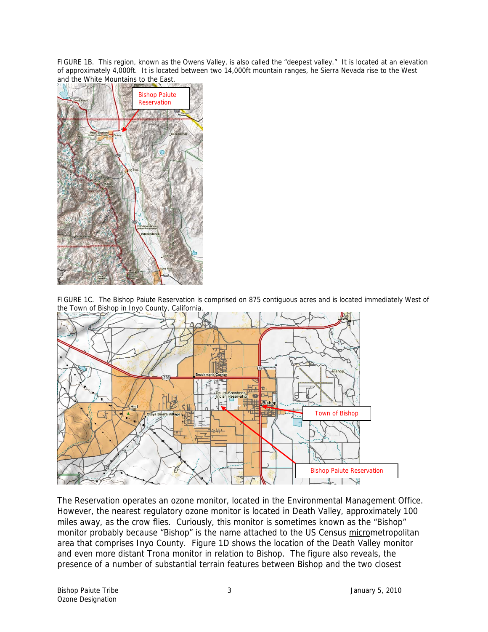FIGURE 1B. This region, known as the Owens Valley, is also called the "deepest valley." It is located at an elevation of approximately 4,000ft. It is located between two 14,000ft mountain ranges, he Sierra Nevada rise to the West and the White Mountains to the East.



FIGURE 1C. The Bishop Paiute Reservation is comprised on 875 contiguous acres and is located immediately West of the Town of Bishop in Inyo County, California.



The Reservation operates an ozone monitor, located in the Environmental Management Office. However, the nearest regulatory ozone monitor is located in Death Valley, approximately 100 miles away, as the crow flies. Curiously, this monitor is sometimes known as the "Bishop" monitor probably because "Bishop" is the name attached to the US Census micrometropolitan area that comprises Inyo County. Figure 1D shows the location of the Death Valley monitor and even more distant Trona monitor in relation to Bishop. The figure also reveals, the presence of a number of substantial terrain features between Bishop and the two closest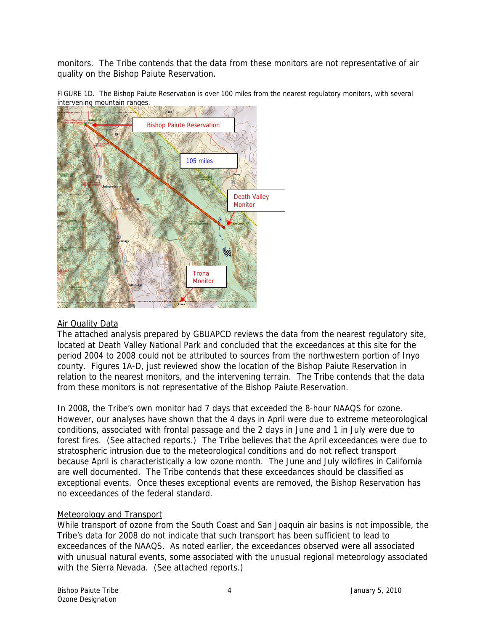monitors. The Tribe contends that the data from these monitors are not representative of air quality on the Bishop Paiute Reservation.





### Air Quality Data

The attached analysis prepared by GBUAPCD reviews the data from the nearest regulatory site, located at Death Valley National Park and concluded that the exceedances at this site for the period 2004 to 2008 could not be attributed to sources from the northwestern portion of Inyo county. Figures 1A-D, just reviewed show the location of the Bishop Paiute Reservation in relation to the nearest monitors, and the intervening terrain. The Tribe contends that the data from these monitors is not representative of the Bishop Paiute Reservation.

In 2008, the Tribe's own monitor had 7 days that exceeded the 8-hour NAAQS for ozone. However, our analyses have shown that the 4 days in April were due to extreme meteorological conditions, associated with frontal passage and the 2 days in June and 1 in July were due to forest fires. (See attached reports.) The Tribe believes that the April exceedances were due to stratospheric intrusion due to the meteorological conditions and do not reflect transport because April is characteristically a low ozone month. The June and July wildfires in California are well documented. The Tribe contends that these exceedances should be classified as exceptional events. Once theses exceptional events are removed, the Bishop Reservation has no exceedances of the federal standard.

### Meteorology and Transport

While transport of ozone from the South Coast and San Joaquin air basins is not impossible, the Tribe's data for 2008 do not indicate that such transport has been sufficient to lead to exceedances of the NAAQS. As noted earlier, the exceedances observed were all associated with unusual natural events, some associated with the unusual regional meteorology associated with the Sierra Nevada. (See attached reports.)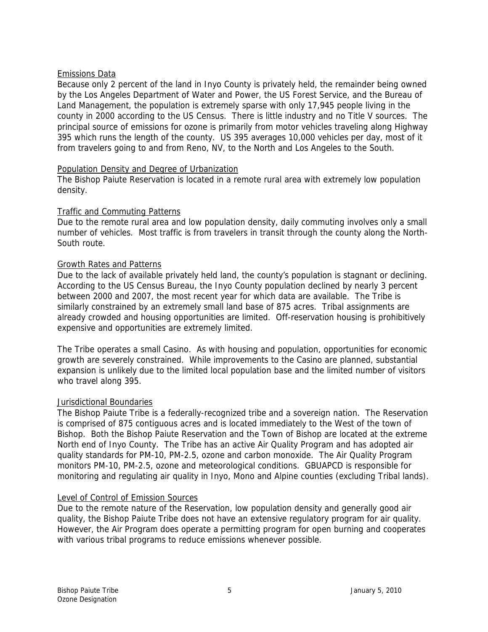### Emissions Data

Because only 2 percent of the land in Inyo County is privately held, the remainder being owned by the Los Angeles Department of Water and Power, the US Forest Service, and the Bureau of Land Management, the population is extremely sparse with only 17,945 people living in the county in 2000 according to the US Census. There is little industry and no Title V sources. The principal source of emissions for ozone is primarily from motor vehicles traveling along Highway 395 which runs the length of the county. US 395 averages 10,000 vehicles per day, most of it from travelers going to and from Reno, NV, to the North and Los Angeles to the South.

### Population Density and Degree of Urbanization

The Bishop Paiute Reservation is located in a remote rural area with extremely low population density.

## Traffic and Commuting Patterns

Due to the remote rural area and low population density, daily commuting involves only a small number of vehicles. Most traffic is from travelers in transit through the county along the North-South route.

### Growth Rates and Patterns

Due to the lack of available privately held land, the county's population is stagnant or declining. According to the US Census Bureau, the Inyo County population declined by nearly 3 percent between 2000 and 2007, the most recent year for which data are available. The Tribe is similarly constrained by an extremely small land base of 875 acres. Tribal assignments are already crowded and housing opportunities are limited. Off-reservation housing is prohibitively expensive and opportunities are extremely limited.

The Tribe operates a small Casino. As with housing and population, opportunities for economic growth are severely constrained. While improvements to the Casino are planned, substantial expansion is unlikely due to the limited local population base and the limited number of visitors who travel along 395.

# Jurisdictional Boundaries

The Bishop Paiute Tribe is a federally-recognized tribe and a sovereign nation. The Reservation is comprised of 875 contiguous acres and is located immediately to the West of the town of Bishop. Both the Bishop Paiute Reservation and the Town of Bishop are located at the extreme North end of Inyo County. The Tribe has an active Air Quality Program and has adopted air quality standards for PM-10, PM-2.5, ozone and carbon monoxide. The Air Quality Program monitors PM-10, PM-2.5, ozone and meteorological conditions. GBUAPCD is responsible for monitoring and regulating air quality in Inyo, Mono and Alpine counties (excluding Tribal lands).

### Level of Control of Emission Sources

Due to the remote nature of the Reservation, low population density and generally good air quality, the Bishop Paiute Tribe does not have an extensive regulatory program for air quality. However, the Air Program does operate a permitting program for open burning and cooperates with various tribal programs to reduce emissions whenever possible.